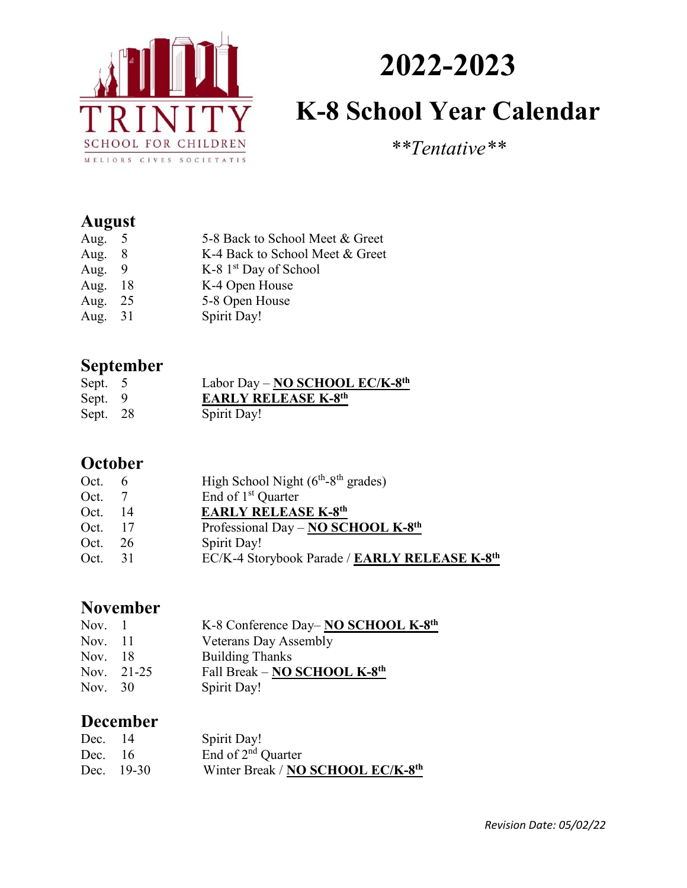

# **2022-2023 K-8 School Year Calendar**

*\*\*Tentative\*\**

# **August**

| Aug. $5$ |    | 5-8 Back to School Meet & Greet |
|----------|----|---------------------------------|
| Aug.     | -8 | K-4 Back to School Meet & Greet |
| Aug. $9$ |    | K-8 $1st$ Day of School         |
| Aug. 18  |    | K-4 Open House                  |
| Aug. 25  |    | 5-8 Open House                  |
| Aug. 31  |    | Spirit Day!                     |
|          |    |                                 |

# **September**

| Sept. 5  | Labor Day - NO SCHOOL EC/K-8th |
|----------|--------------------------------|
| Sept. 9  | <b>EARLY RELEASE K-8th</b>     |
| Sept. 28 | Spirit Day!                    |

#### **October**

| Oct. $6$ | High School Night $(6th-8th$ grades)          |
|----------|-----------------------------------------------|
| Oct. 7   | End of 1 <sup>st</sup> Quarter                |
| 14       | <b>EARLY RELEASE K-8th</b>                    |
| Oct. 17  | Professional Day - NO SCHOOL K-8th            |
| Oct. 26  | Spirit Day!                                   |
| 31       | EC/K-4 Storybook Parade / EARLY RELEASE K-8th |
|          |                                               |

### **November**

| Nov. $1$  |            | K-8 Conference Day-NO SCHOOL K-8th       |
|-----------|------------|------------------------------------------|
| Nov. 11   |            | <b>Veterans Day Assembly</b>             |
| Nov. 18   |            | <b>Building Thanks</b>                   |
|           | Nov. 21-25 | Fall Break - NO SCHOOL K-8 <sup>th</sup> |
| Nov. $30$ |            | Spirit Day!                              |

# **December**

| Dec. 14   |            | Spirit Day!                                   |
|-----------|------------|-----------------------------------------------|
| Dec. $16$ |            | End of 2 <sup>nd</sup> Quarter                |
|           | Dec. 19-30 | Winter Break / NO SCHOOL EC/K-8 <sup>th</sup> |